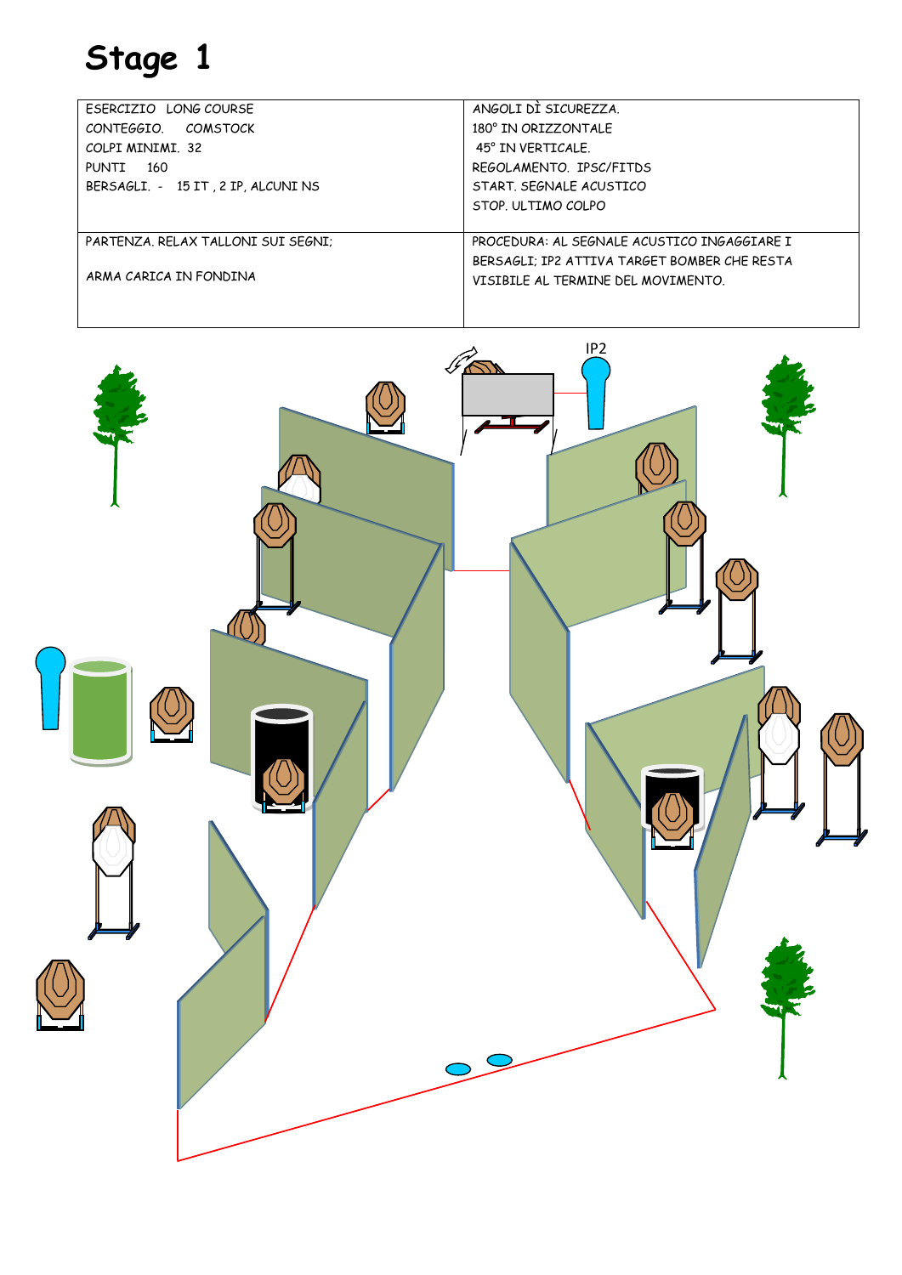| ESERCIZIO LONG COURSE              | ANGOLI DI SICUREZZA.                         |
|------------------------------------|----------------------------------------------|
| CONTFGGIO COMSTOCK                 | 180° IN ORIZZONTALF                          |
| COLPI MINIMI, 32                   | 45° IN VERTICALE.                            |
| 160<br>PUNTT                       | REGOLAMENTO, IPSC/FITDS                      |
| BERSAGLI. - 15 IT, 2 IP, ALCUNI NS | START, SFGNALF ACUSTICO                      |
|                                    | STOP. ULTIMO COLPO                           |
|                                    |                                              |
| PARTENZA, RELAX TALLONI SUI SEGNI: | PROCFDURA: AL SFGNALF ACUSTICO INGAGGIARF I  |
|                                    | BERSAGLI: IP2 ATTIVA TARGET BOMBER CHE RESTA |
| ARMA CARICA IN FONDINA             | VISIBILE AL TERMINE DEL MOVIMENTO.           |
|                                    |                                              |

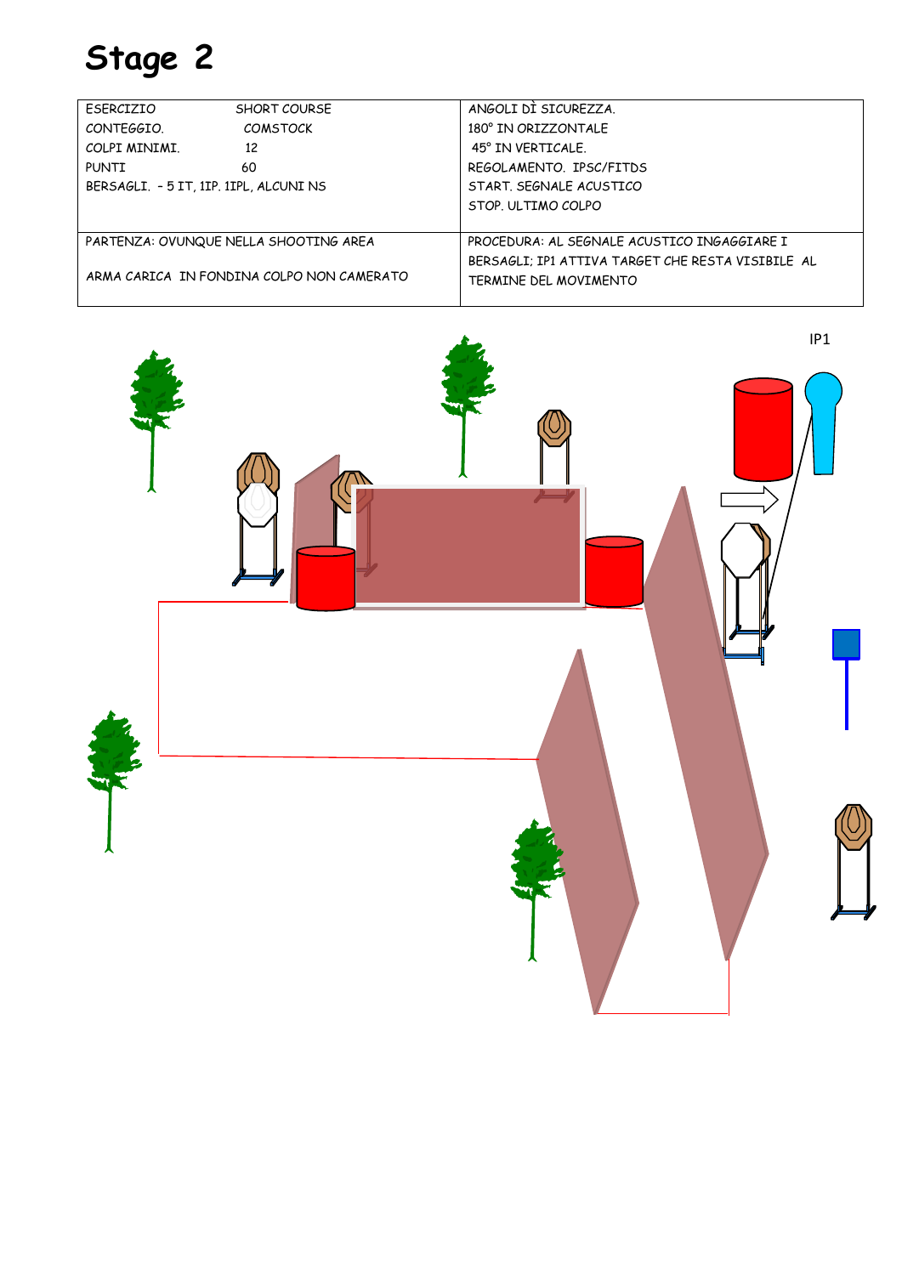| FSFRCIZIO                              | <b>SHORT COURSE</b>                       | ANGOLI DI SICUREZZA.                              |  |
|----------------------------------------|-------------------------------------------|---------------------------------------------------|--|
| CONTEGGIO.                             | <b>COMSTOCK</b>                           | 180° IN ORIZZONTALF                               |  |
| COLPI MINIMI.                          | 12                                        | 45° IN VERTICALE.                                 |  |
| <b>PUNTI</b>                           | 60                                        | REGOLAMENTO. IPSC/FITDS                           |  |
| BERSAGLI. - 5 IT, 1IP, 1IPL, ALCUNI NS |                                           | START, SEGNALE ACUSTICO                           |  |
|                                        |                                           | STOP. ULTIMO COLPO                                |  |
|                                        |                                           |                                                   |  |
| PARTENZA: OVUNQUE NELLA SHOOTING AREA  |                                           | PROCEDURA: AL SEGNALE ACUSTICO INGAGGIARE I       |  |
|                                        |                                           | BERSAGLI: IP1 ATTIVA TARGET CHE RESTA VISIBILE AL |  |
|                                        | ARMA CARICA IN FONDINA COLPO NON CAMERATO | TERMINE DEL MOVIMENTO                             |  |
|                                        |                                           |                                                   |  |

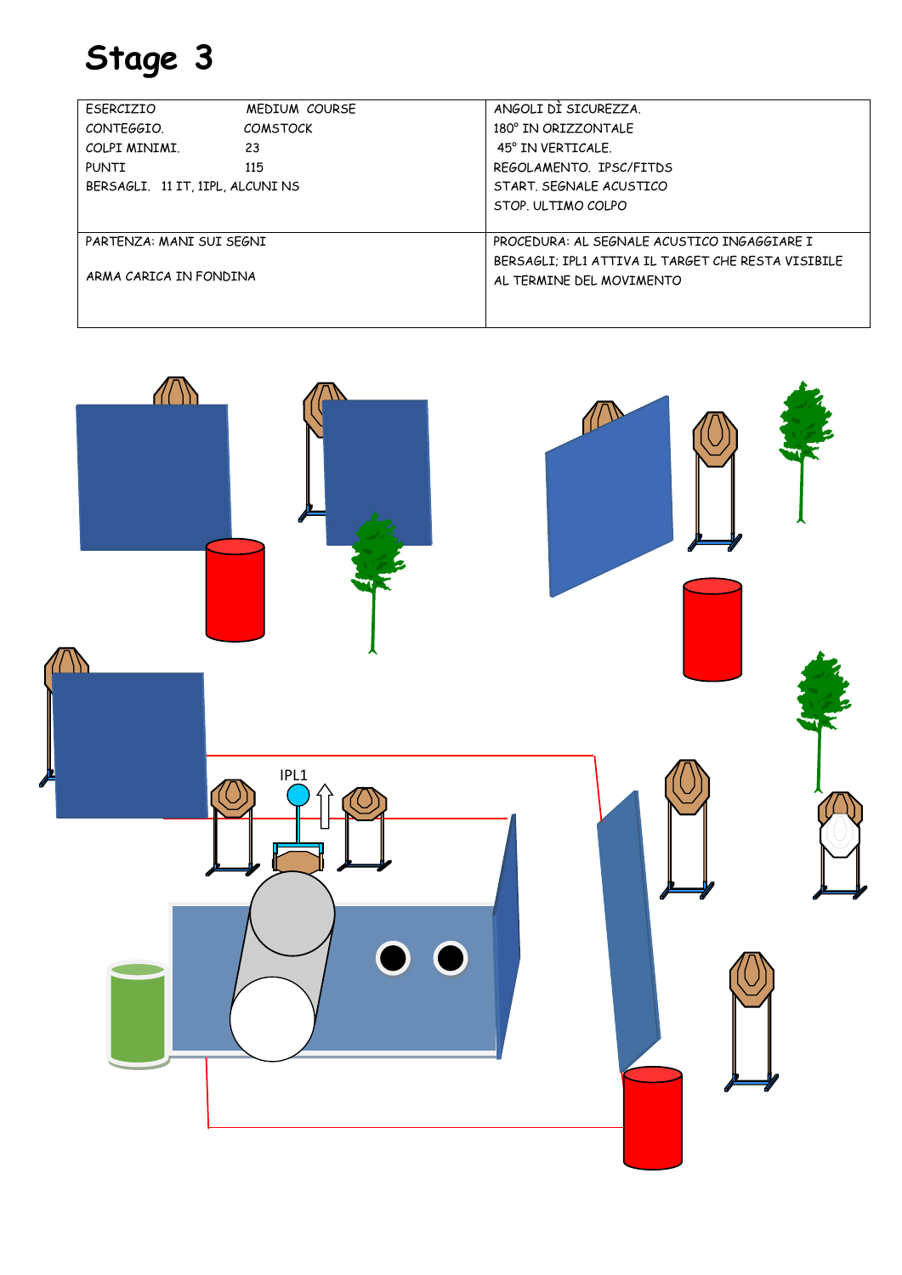| FSFRCIZIO                        | MEDIUM COURSE   | ANGOLI DI SICUREZZA.                               |
|----------------------------------|-----------------|----------------------------------------------------|
| CONTFGGIO.                       | <b>COMSTOCK</b> | 180° IN ORTZZONTALE                                |
| COLPI MINIMI.                    | 23              | 45° IN VERTICALE.                                  |
| PUNTI                            | 115             | REGOLAMENTO IPSC/FITDS                             |
| BERSAGLI, 11 IT, 1IPL, ALCUNI NS |                 | START, SFGNALF ACUSTICO                            |
|                                  |                 | STOP. ULTIMO COLPO                                 |
|                                  |                 |                                                    |
| PARTENZA: MANI SUI SEGNI         |                 | PROCEDURA: AL SEGNALE ACUSTICO INGAGGIARE I        |
| ARMA CARICA IN FONDINA           |                 | BERSAGLI: IPLI ATTIVA IL TARGET CHE RESTA VISIBILE |
|                                  |                 | AL TERMINE DEL MOVIMENTO                           |
|                                  |                 |                                                    |

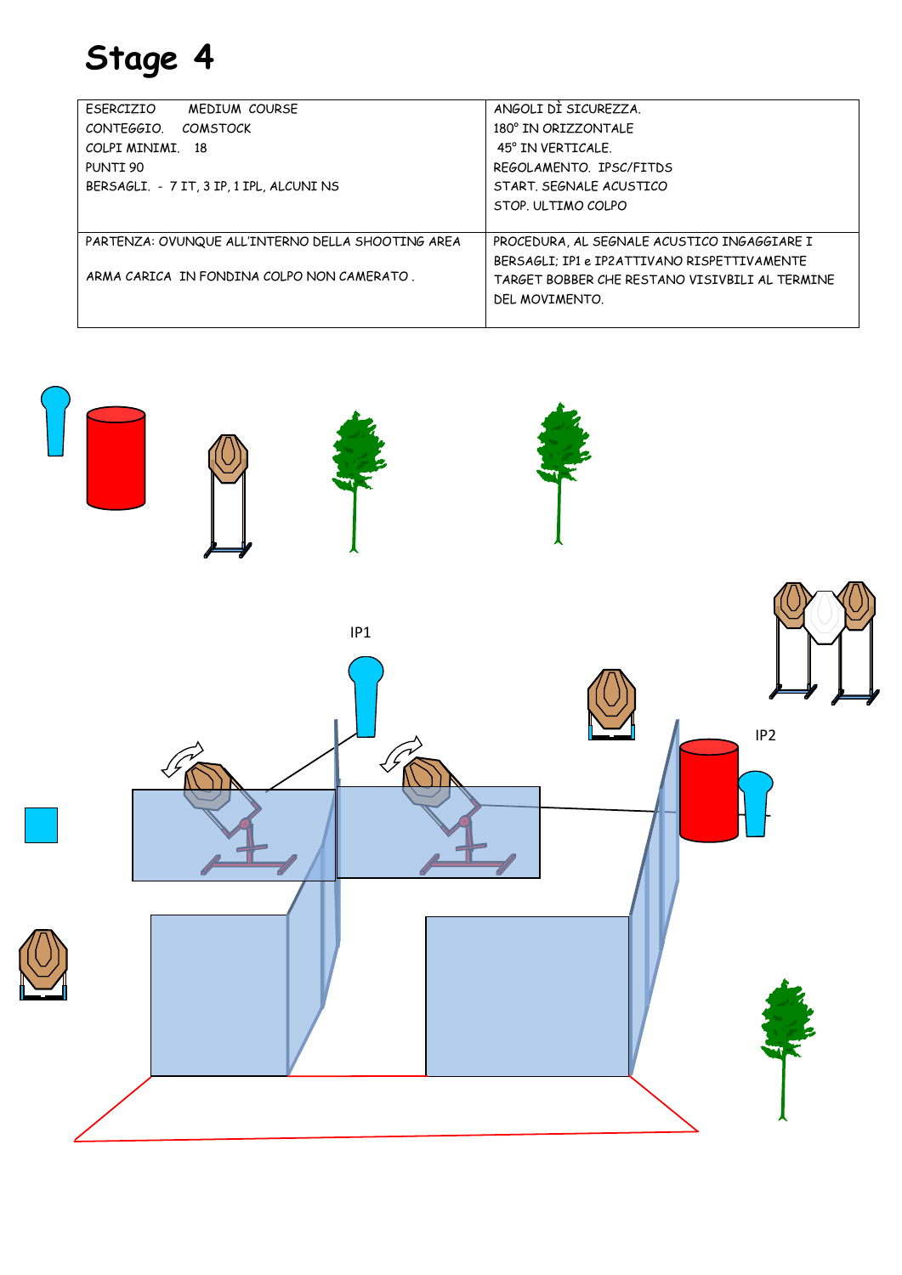| FSFRCIZIO<br>MEDIUM COURSE                        | ANGOLI DI SICUREZZA.                           |
|---------------------------------------------------|------------------------------------------------|
| CONTEGGIO.<br><b>COMSTOCK</b>                     | 180° IN ORIZZONTALF                            |
| COLPI MINIMI. 18                                  | 45° IN VERTICALE.                              |
| PUNTI 90                                          | REGOLAMENTO, IPSC/FITDS                        |
| BERSAGLI. - 7 IT, 3 IP, 1 IPL, ALCUNI NS          | START, SEGNALE ACUSTICO                        |
|                                                   | STOP. ULTIMO COLPO                             |
|                                                   |                                                |
| PARTENZA: OVUNQUE ALL'INTERNO DELLA SHOOTING AREA | PROCEDURA, AL SEGNALE ACUSTICO INGAGGIARE I    |
|                                                   | BERSAGLI: IP1 e IP2ATTIVANO RISPETTIVAMENTE    |
| ARMA CARICA IN FONDINA COLPO NON CAMERATO.        | TARGFT BOBBFR CHF RFSTANO VISIVBILI AL TFRMINF |
|                                                   | DEL MOVIMENTO.                                 |
|                                                   |                                                |

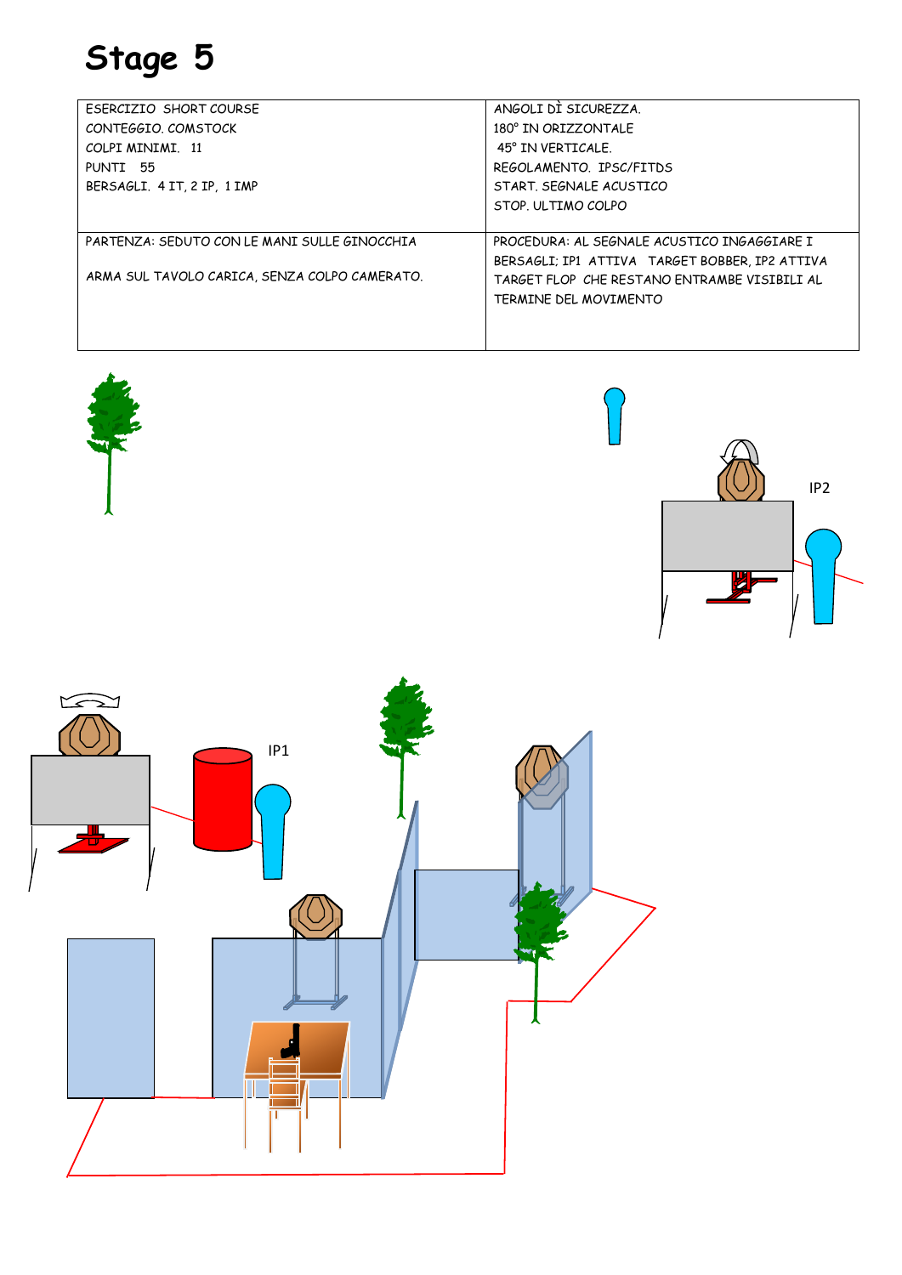| ESERCIZIO SHORT COURSE                        | ANGOLI DI SICURFZZA.                           |
|-----------------------------------------------|------------------------------------------------|
| CONTFGGIO, COMSTOCK                           | 180° IN ORIZZONTALF                            |
| COLPI MINIMI 11                               | 45° IN VERTICALE.                              |
| PUNTI 55                                      | REGOLAMENTO IPSC/FITDS                         |
| BERSAGLI, 4 IT, 2 IP, 1 IMP                   | START, SEGNALE ACUSTICO                        |
|                                               | STOP. ULTIMO COLPO                             |
|                                               |                                                |
| PARTENZA: SEDUTO CON LE MANI SULLE GINOCCHIA  | PROCFDURA: AL SFGNALF ACUSTICO INGAGGIARF I    |
|                                               | BERSAGLI; IP1 ATTIVA TARGET BOBBER, IP2 ATTIVA |
| ARMA SUL TAVOLO CARICA, SENZA COLPO CAMERATO. | TARGFT FLOP CHF RFSTANO FNTRAMBF VISIBILI AL   |
|                                               | TERMINE DEL MOVIMENTO                          |
|                                               |                                                |
|                                               |                                                |

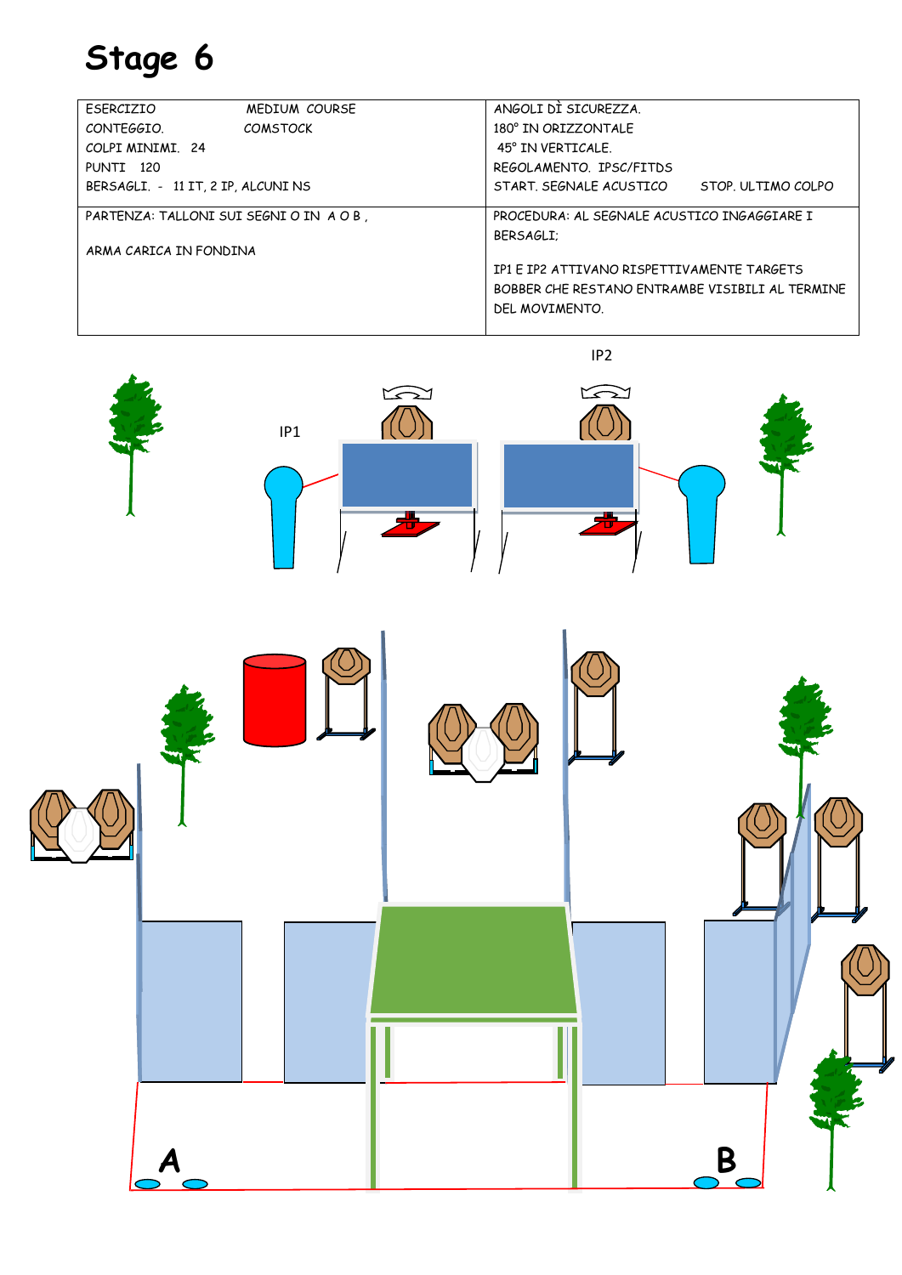IP1

| FSFRCIZIO                                                                              | <b>MEDIUM COURSE</b> | ANGOLI DI SICURFZZA.                            |                    |
|----------------------------------------------------------------------------------------|----------------------|-------------------------------------------------|--------------------|
| CONTEGGIO.                                                                             | COMSTOCK             | 180° IN ORIZZONTALF                             |                    |
| COLPI MINIMI 24                                                                        |                      | 45° IN VERTICALE.                               |                    |
| PUNTI 120                                                                              |                      | REGOLAMENTO. IPSC/FITDS                         |                    |
| BERSAGLI. - 11 IT, 2 IP, ALCUNI NS                                                     |                      | START, SEGNALE ACUSTICO                         | STOP. ULTIMO COLPO |
| PROCEDURA: AL SEGNALE ACUSTICO INGAGGIARE I<br>PARTENZA: TALLONI SUI SEGNI O IN A O B. |                      |                                                 |                    |
|                                                                                        |                      | BERSAGLI:                                       |                    |
| ARMA CARICA IN FONDINA                                                                 |                      |                                                 |                    |
|                                                                                        |                      | IP1 E IP2 ATTIVANO RISPETTIVAMENTE TARGETS      |                    |
|                                                                                        |                      | BOBBER CHE RESTANO ENTRAMBE VISIBILI AL TERMINE |                    |
|                                                                                        |                      | DEL MOVIMENTO.                                  |                    |
|                                                                                        |                      |                                                 |                    |

 $\widehat{\mathbb{O}}$ O

I **A** B

IP2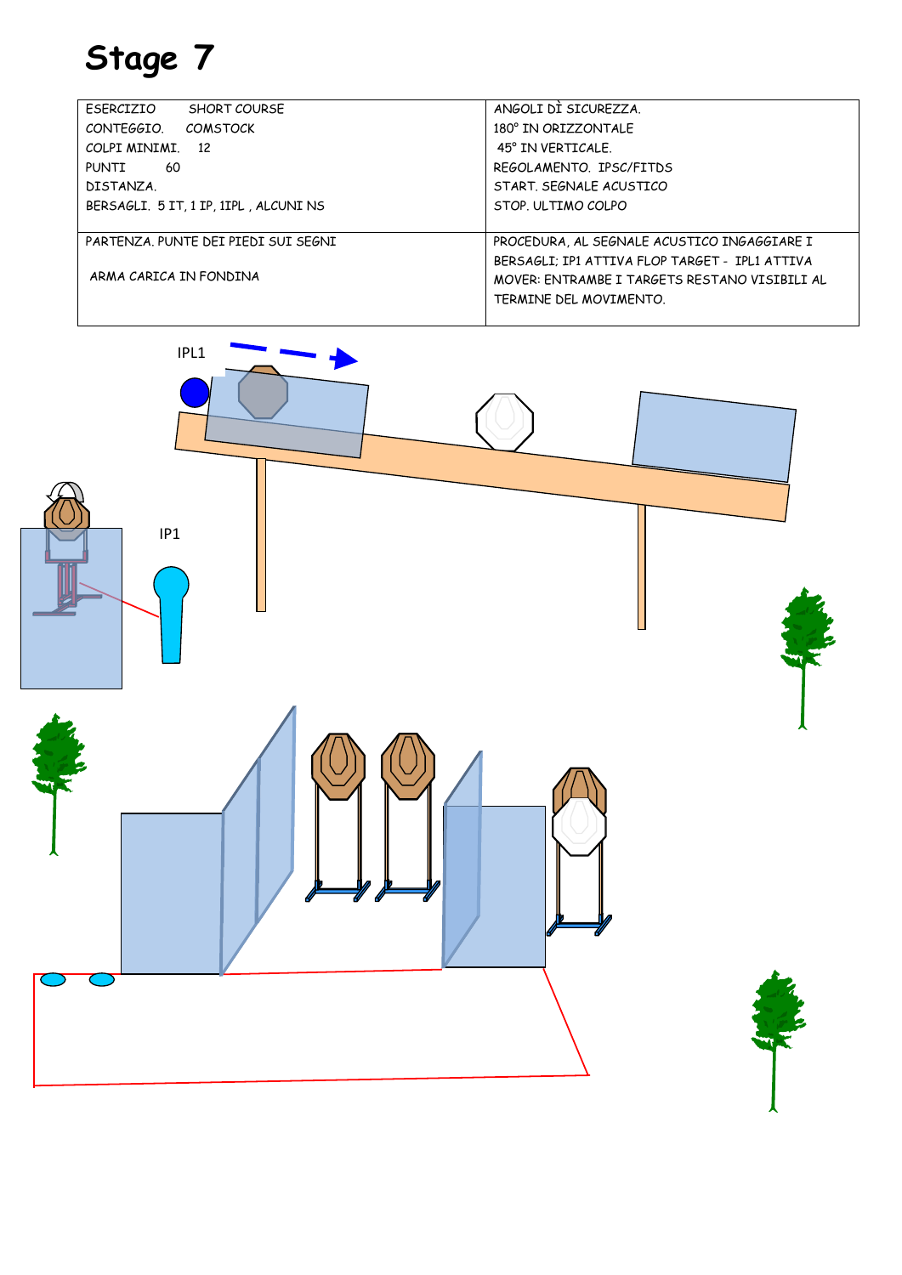| FSFRCIZIO<br><b>SHORT COURSE</b>      | ANGOLI DI SICURFZZA.                           |
|---------------------------------------|------------------------------------------------|
| CONTEGGIO.<br><b>COMSTOCK</b>         | 180° IN ORIZZONTALF                            |
| COLPI MINIMI 12                       | 45° IN VERTICALE.                              |
| <b>PUNTI</b><br>-60                   | REGOLAMENTO, IPSC/FITDS                        |
| DISTANZA.                             | START, SEGNALE ACUSTICO                        |
| BERSAGLI. 5 IT, 1 IP, 1IPL, ALCUNI NS | STOP. ULTIMO COLPO                             |
|                                       |                                                |
| PARTENZA. PUNTE DEI PIEDI SUI SEGNI   | PROCEDURA, AL SEGNALE ACUSTICO INGAGGIARE I    |
|                                       | BERSAGLI; IP1 ATTIVA FLOP TARGET - IPL1 ATTIVA |
| ARMA CARICA IN FONDINA                | MOVER: ENTRAMBE I TARGETS RESTANO VISIBILI AL  |
|                                       | TERMINE DEL MOVIMENTO.                         |
|                                       |                                                |

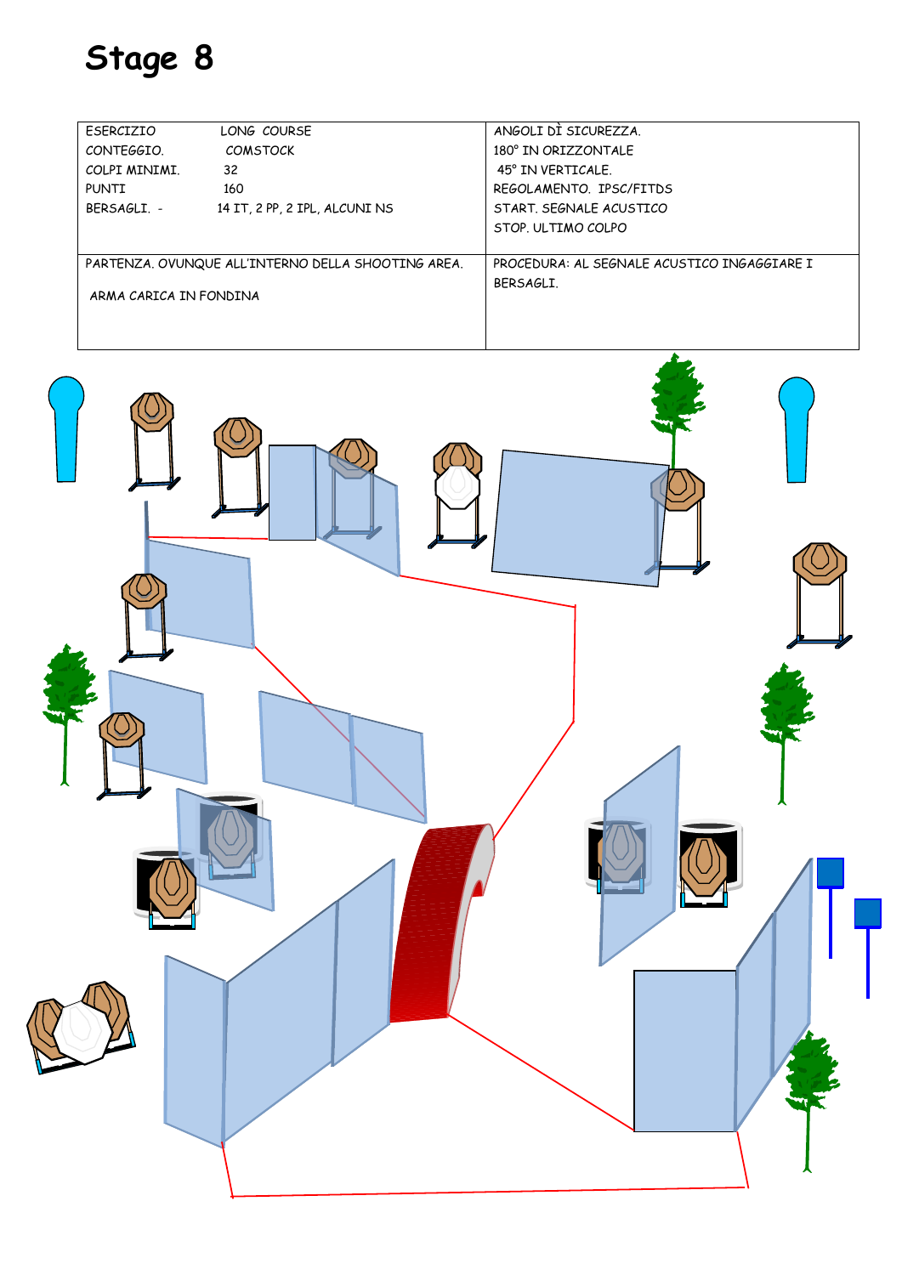| FSFRCIZIO                                          | LONG COURSF                   | ANGOLI DI SICUREZZA.                        |
|----------------------------------------------------|-------------------------------|---------------------------------------------|
| CONTEGGIO.                                         | <b>COMSTOCK</b>               | 180° IN ORIZZONTALE                         |
| COLPI MINIMI.                                      | 32                            | 45° IN VERTICALE.                           |
| PUNTI                                              | 160                           | REGOLAMENTO, IPSC/FITDS                     |
| BFRSAGLI -                                         | 14 IT, 2 PP, 2 IPL, ALCUNI NS | START, SFGNALF ACUSTICO                     |
|                                                    |                               | STOP. ULTIMO COLPO                          |
|                                                    |                               |                                             |
| PARTENZA. OVUNQUE ALL'INTERNO DELLA SHOOTING AREA. |                               | PROCEDURA: AL SEGNALE ACUSTICO INGAGGIARE I |
|                                                    |                               | BFRSAGLI.                                   |
| ARMA CARICA IN FONDINA                             |                               |                                             |
|                                                    |                               |                                             |

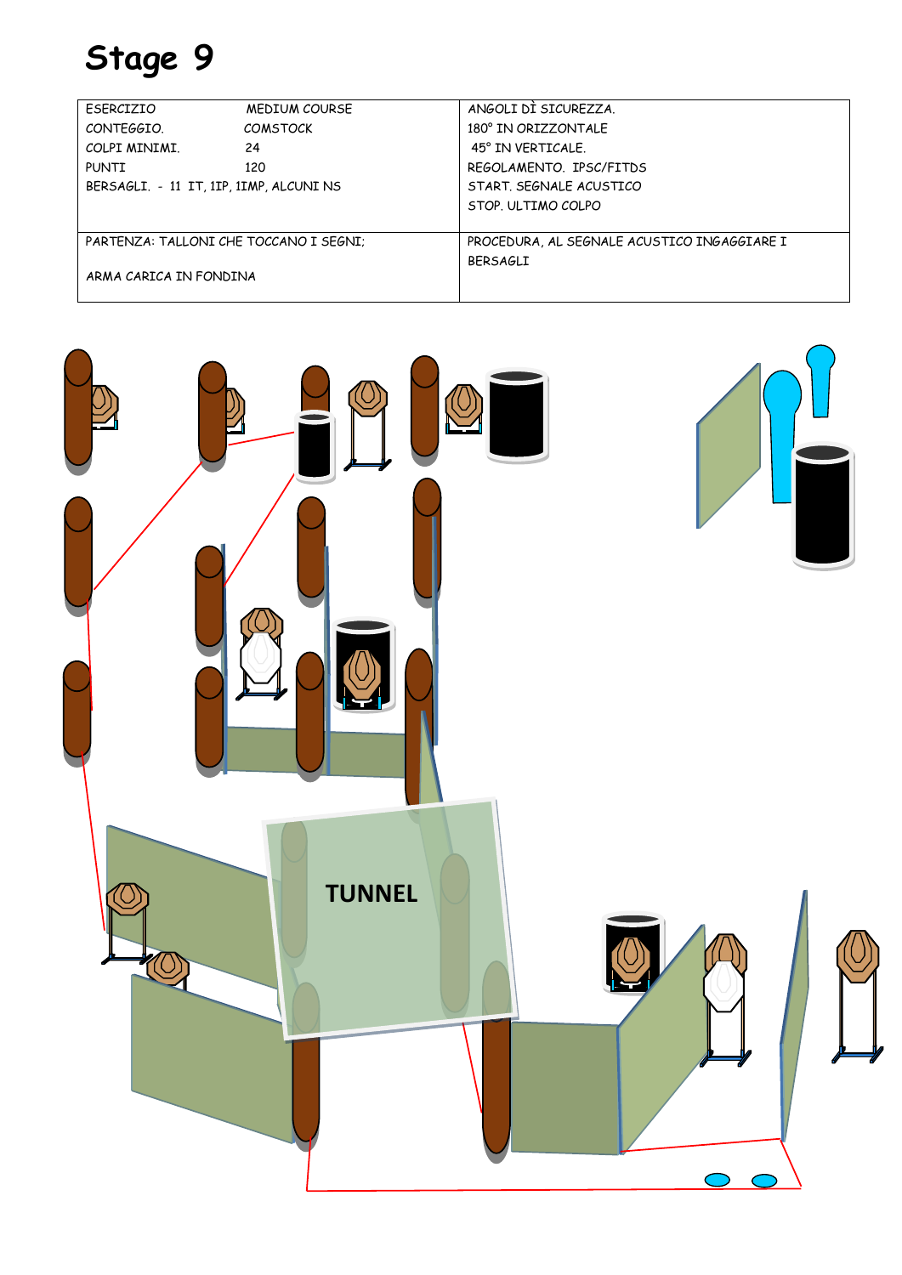| FSFRCIZIO                               | <b>MEDIUM COURSE</b> | ANGOLI DI SICUREZZA.                        |
|-----------------------------------------|----------------------|---------------------------------------------|
| CONTEGGIO.                              | <b>COMSTOCK</b>      | 180° IN ORIZZONTALF                         |
| COLPI MINIMI.                           | 24                   | 45° IN VERTICALE.                           |
| PUNTI                                   | 120                  | REGOLAMENTO, IPSC/FITDS                     |
| BERSAGLI. - 11 IT, 1IP, 1IMP, ALCUNI NS |                      | START, SEGNALE ACUSTICO                     |
|                                         |                      | STOP. ULTIMO COLPO                          |
|                                         |                      |                                             |
| PARTENZA: TALLONI CHE TOCCANO I SEGNI:  |                      | PROCEDURA, AL SEGNALE ACUSTICO INGAGGIARE I |
|                                         |                      | <b>BFRSAGLI</b>                             |
| ARMA CARICA IN FONDINA                  |                      |                                             |